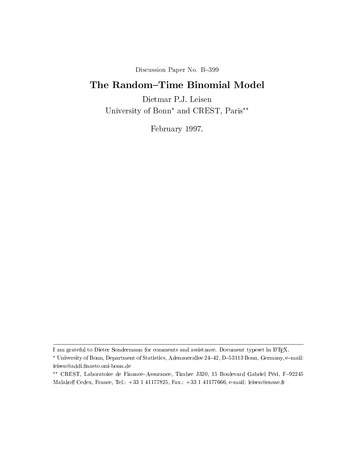Discussion Paper No. B-399

# The Random-Time Binomial Model

Dietmar P.J. Leisen University of Bonn<sup>\*</sup> and CREST, Paris<sup>\*\*</sup>

February 1997.

I am grateful to Dieter Sondermann for comments and assistance. Document typeset in LATEX.

University of Bonn, Department of Statistics, Adenaueraliee 24–42, D=33113 Bonn, Germany, e=mail:  $\overline{\phantom{a}}$ leisen@addi.finasto.uni-bonn.de

CREST, Laboratoire de Finance{Assurance, Timbre J320, 15 Boulevard Gabriel Peri, F{92245 Malakoff Cedex, France, Tel.: +33 1 41177825, Fax.: +33 1 41177666, e-mail: leisen@ensae.fr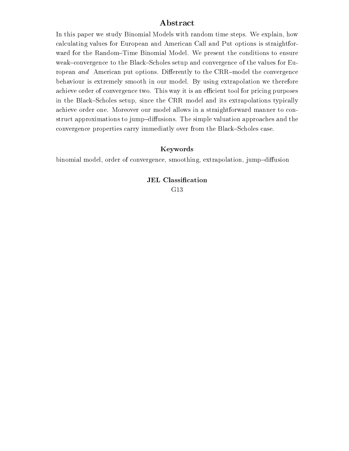# Abstract

In this paper we study Binomial Models with random time steps. We explain, how calculating values for European and American Call and Put options is straightforward for the Random-Time Binomial Model. We present the conditions to ensure weak-convergence to the Black-Scholes setup and convergence of the values for European and American put options. Differently to the CRR-model the convergence behaviour is extremely smooth in our model. By using extrapolation we therefore achieve order of convergence two. This way it is an efficient tool for pricing purposes in the Black-Scholes setup, since the CRR model and its extrapolations typically achieve order one. Moreover our model allows in a straightforward manner to construct approximations to jump-diffusions. The simple valuation approaches and the convergence properties carry immediatly over from the Black–Scholes case.

# Keywords

binomial model, order of convergence, smoothing, extrapolation, jump-diffusion

JEL Classification G13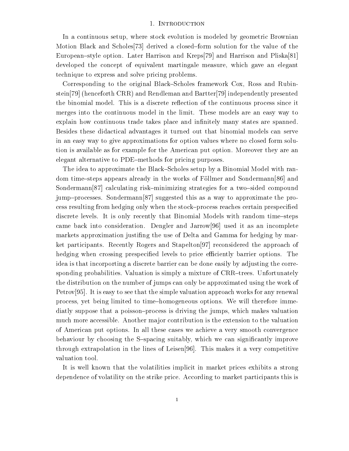#### 1. INTRODUCTION

In a continuous setup, where stock evolution is modeled by geometric Brownian Motion Black and Scholes<sup>[73]</sup> derived a closed-form solution for the value of the European-style option. Later Harrison and Kreps[79] and Harrison and Pliska[81] developed the concept of equivalent martingale measure, which gave an elegant technique to express and solve pricing problems.

Corresponding to the original Black-Scholes framework Cox, Ross and Rubinstein[79] (henceforth CRR) and Rendleman and Bartter[79] independently presented the binomial model. This is a discrete reflection of the continuous process since it merges into the continuous model in the limit. These models are an easy way to explain how continuous trade takes place and infinitely many states are spanned. Besides these didactical advantages it turned out that binomial models can serve in an easy way to give approximations for option values where no closed form solution is available as for example for the American put option. Moreover they are an elegant alternative to PDE-methods for pricing purposes.

The idea to approximate the Black-Scholes setup by a Binomial Model with random time-steps appears already in the works of Föllmer and Sondermann[86] and Sondermann $[87]$  calculating risk-minimizing strategies for a two-sided compound jump-processes. Sondermann $[87]$  suggested this as a way to approximate the process resulting from hedging only when the stock–process reaches certain prespecified discrete levels. It is only recently that Binomial Models with random time-steps came back into consideration. Dengler and Jarrow<sup>[96]</sup> used it as an incomplete markets approximation justing the use of Delta and Gamma for hedging by market participants. Recently Rogers and Stapelton[97] reconsidered the approach of hedging when crossing prespecified levels to price efficiently barrier options. The idea is that incorporting a discrete barrier can be done easily by adjusting the corresponding probabilities. Valuation is simply a mixture of CRR-trees. Unfortunately the distribution on the number of jumps can only be approximated using the work of Petrov[95]. It is easy to see that the simple valuation approach works for any renewal process, yet being limited to time{homogeneous options. We will therefore immediatly suppose that a poisson-process is driving the jumps, which makes valuation much more accessible. Another ma jor contribution is the extension to the valuation of American put options. In all these cases we achieve a very smooth convergence behaviour by choosing the S-spacing suitably, which we can significantly improve through extrapolation in the lines of Leisen[96]. This makes it a very competitive valuation tool.

It is well known that the volatilities implicit in market prices exhibits a strong dependence of volatility on the strike price. According to market participants this is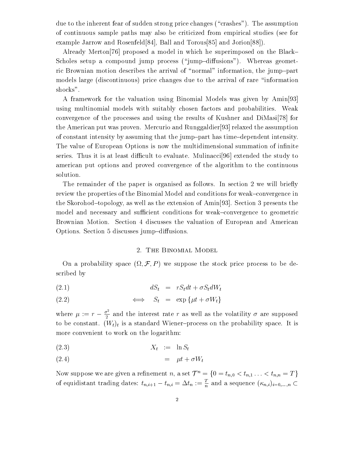due to the inherent fear of sudden strong price changes ("crashes"). The assumption of continuous sample paths may also be criticized from empirical studies (see for example Jarrow and Rosenfeld[84], Ball and Torous[85] and Jorion[88]).

Already Merton<sup>[76]</sup> proposed a model in which he superimposed on the Black-Scholes setup a compound jump process  $(\gamma_{\text{jump}}-diffusions)$ . Whereas geometric Brownian motion describes the arrival of "normal" information, the jump-part models large (discontinuous) price changes due to the arrival of rare \information shocks".

A framework for the valuation using Binomial Models was given by Amin[93] using multinomial models with suitably chosen factors and probabilities. Weak convergence of the processes and using the results of Kushner and DiMasi[78] for the American put was proven. Mercurio and Runggaldier[93] relaxed the assumption of constant intensity by assuming that the jump{part has time{dependent intensity. The value of European Options is now the multidimensional summation of infinite series. Thus it is at least difficult to evaluate. Mulinacci $[96]$  extended the study to american put options and proved convergence of the algorithm to the continuous solution.

The remainder of the paper is organised as follows. In section 2 we will briefly review the properties of the Binomial Model and conditions for weak-convergence in the Skorohod-topology, as well as the extension of  $\text{Amin}[93]$ . Section 3 presents the model and necessary and sufficient conditions for weak-convergence to geometric Brownian Motion. Section 4 discusses the valuation of European and American Options. Section 5 discusses jump-diffusions.

#### 2. The Binomial Model

On a probability space  $(i \ell, \mathcal{F}, P)$  we suppose the stock price process to be described by

$$
dS_t = rS_t dt + \sigma S_t dW_t
$$

$$
(2.2) \qquad \qquad \Longleftrightarrow \qquad S_t = \exp\left\{\mu t + \sigma W_t\right\}
$$

where  $\mu := r - \frac{\sigma^2}{2}$  and the interest rate r as well as the volatility  $\sigma$  are supposed to be constant.  $(W_t)_t$  is a standard Wiener-process on the probability space. It is more convenient to work on the logarithm:

$$
(2.3) \t\t X_t := \ln S_t
$$

$$
(2.4) \qquad \qquad = \quad \mu t + \sigma W_t
$$

Now suppose we are given a refinement n, a set  $\mathcal{T}^n = \{0 = t_{n,0} < t_{n,1} \ldots < t_{n,n} = T\}$ of equidistant trading dates:  $t_{n,i+1} - t_{n,i} = \Delta t_n := \frac{T}{n}$  and a sequence  $(\kappa_{n,i})_{i=0,\ldots,n}$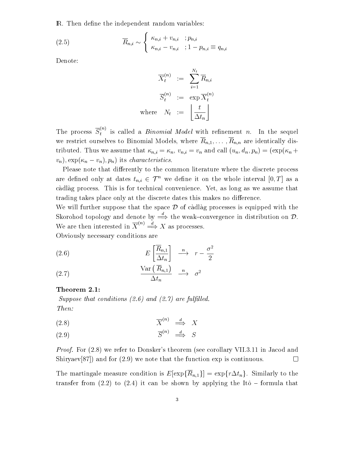**R**. Then define the independent random variables:

(2.5) 
$$
\overline{R}_{n,i} \sim \begin{cases} \kappa_{n,i} + v_{n,i} & ; p_{n,i} \\ \kappa_{n,i} - v_{n,i} & ; 1 - p_{n,i} \equiv q_{n,i} \end{cases}
$$

Denote:

$$
\overline{X}_t^{(n)} \quad := \quad \sum_{i=1}^{N_t} \overline{R}_{n,i}
$$
\n
$$
\overline{S}_t^{(n)} \quad := \quad \exp \overline{X}_t^{(n)}
$$
\n
$$
\text{where} \quad N_t \quad := \quad \left\lfloor \frac{t}{\Delta t_n} \right\rfloor
$$

The process  $S_t^{(n)}$  is called a *Binomial Model* with refinement n. In the sequel we restrict ourselves to Binomial Models, where  $\overline{R}_{n,1},\ldots,\overline{R}_{n,n}$  are identically distributed. Thus we assume that  $\kappa_{n,i} = \kappa_n$ ,  $v_{n,i} = v_n$  and call  $(u_n, d_n, p_n) = (\exp(\kappa_n +$  $(v_n), \exp(\kappa_n - v_n), p_n)$  its *characteristics*.

Please note that differently to the common literature where the discrete process are defined only at dates  $t_{n,i} \in \mathcal{T}^n$  we define it on the whole interval  $[0, T]$  as a càdlàg process. This is for technical convenience. Yet, as long as we assume that trading takes place only at the discrete dates this makes no difference.

We will further suppose that the space  $\mathcal D$  of cadlag processes is equipped with the Skorohod topology and denote by  $\Longrightarrow$  the weak-convergence in distribution on  ${\mathcal D}.$ We are then interested in  $X^{\cdots} \implies X$  as processes.

Obviously necessary conditions are

(2.6) 
$$
E\left[\frac{\overline{R}_{n,1}}{\Delta t_n}\right] \xrightarrow{n} r - \frac{\sigma^2}{2}
$$

$$
\frac{\text{Var}\left(\overline{R}_{n,1}\right)}{\Delta t_n} \xrightarrow{n} \sigma^2
$$

#### Theorem 2.1:

Suppose that conditions  $(2.6)$  and  $(2.7)$  are fulfilled. Then:

$$
(2.8) \t\t \overline{X}^{(n)} \xrightarrow{d} X
$$

$$
(2.9) \t\t \overline{S}^{(n)} \stackrel{d}{\implies} S
$$

Proof. For (2.8) we refer to Donsker's theorem (see corollary VII.3.11 in Jacod and Shiryaev[87]) and for (2.9) we note that the function exp is continuous.  $\Box$ 

The martingale measure condition is  $E[\exp{\{\overline{R}_{n,1}\}}] = \exp{\{r\Delta t_n\}}$ . Similarly to the transfer from (2.2) to (2.4) it can be shown by applying the Itô  ${\rm -}$  formula that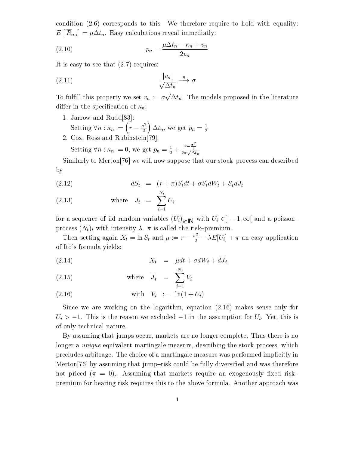condition (2.6) corresponds to this. We therefore require to hold with equality:  $=$   $\cdots$  $[\overline{R}_{n,i}] = \mu \Delta t_n$ . Easy calculations reveal immediatly:

pn <sup>=</sup> tn n <sup>+</sup> vn 2vn (2.10)

It is easy to see that (2.7) requires:

$$
\frac{|v_n|}{\sqrt{\Delta t_n}} \xrightarrow{n} \sigma
$$

To fulfill this property we set  $v_n := \sigma \sqrt{\Delta t_n}$ . The models proposed in the literature differ in the specification of  $\kappa_n$ :

- 1. Jarrow and Rudd[83]: Setting  $\forall n : \kappa_n := \left(r - \frac{\sigma^2}{2}\right) \Delta t_n$ , we get  $p_n = \frac{1}{2}$
- 2. Cox, Ross and Rubinstein[79]:

Setting  $\forall n : \kappa_n := 0$ , we get  $p_n = \frac{1}{2} + \frac{r - \frac{\sigma}{2}}{2\sigma\sqrt{\Delta t_n}}$ 

Similarly to Merton<sup>[76]</sup> we will now suppose that our stock-process can described by

$$
(2.12) \t\t dS_t = (r + \pi)S_t dt + \sigma S_t dW_t + S_t dJ_t
$$

(2.13) where 
$$
J_t = \sum_{i=1}^{N_t} U_i
$$

for a sequence of iid random variables  $(U_i)_{i \in \mathbb{N}}$  with  $U_i \subset ]-1,\infty[$  and a poissonprocess  $(N_t)_t$  with intensity  $\lambda$ .  $\pi$  is called the risk-premium.

Then setting again  $X_t = \ln S_t$  and  $\mu := r - \frac{\sigma^2}{2} - \lambda E[U_i] + \pi$  an easy application of It^o's formula yields:

$$
(2.14) \t\t X_t = \mu dt + \sigma dW_t + d\overline{J}_t
$$

(2.15) where 
$$
\overline{J}_t = \sum_{i=1}^{N_t} V_i
$$

with Vi (2.16) := ln(1 + Ui)

Since we are working on the logarithm, equation (2.16) makes sense only for  $U_i > -1$ . This is the reason we excluded  $-1$  in the assumption for  $U_i$ . Yet, this is of only technical nature.

By assuming that jumps occur, markets are no longer complete. Thus there is no longer a *unique* equivalent martingale measure, describing the stock process, which precludes arbitrage. The choice of a martingale measure was performed implicitly in Merton<sup>[76]</sup> by assuming that jump-risk could be fully diversified and was therefore not priced  $(\pi = 0)$ . Assuming that markets require an exogenously fixed riskpremium for bearing risk requires this to the above formula. Another approach was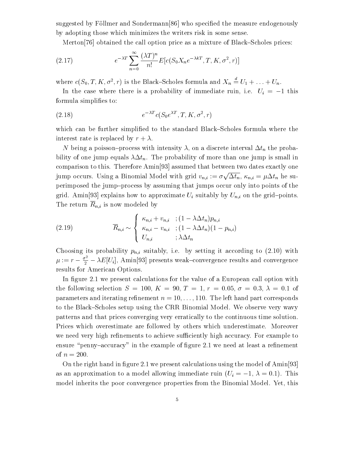suggested by Föllmer and Sondermann $[86]$  who specified the measure endogenously by adopting those which minimizes the writers risk in some sense.

Merton<sup>[76]</sup> obtained the call option price as a mixture of Black–Scholes prices:

(2.17) 
$$
e^{-\lambda T} \sum_{n=0}^{\infty} \frac{(\lambda T)^n}{n!} E[c(S_0 X_n e^{-\lambda kT}, T, K, \sigma^2, r)]
$$

where  $c(S_0, T, K, \sigma^2, r)$  is the Black–Scholes formula and  $X_n = U_1 + \ldots + U_n$ .

In the case where there is a probability of immediate ruin, i.e.  $U_i = -1$  this formula simplifies to:

$$
(2.18) \t\t e^{-\lambda T} c(S_0 e^{\lambda T}, T, K, \sigma^2, r)
$$

which can be further simplified to the standard Black–Scholes formula where the interest rate is replaced by  $r + \lambda$ .

N being a poisson-process with intensity  $\lambda$ , on a discrete interval  $\Delta t_n$  the probability of one jump equals  $\lambda \Delta t_n$ . The probability of more than one jump is small in comparison to this. Therefore Amin[93] assumed that between two dates exactly one jump occurs. Using a Binomial Model with grid  $v_{n,i} := \sigma \sqrt{\Delta t_n}$ ,  $\kappa_{n,i} = \mu \Delta t_n$  he superimposed the jump-process by assuming that jumps occur only into points of the grid. Amin<sup>[93]</sup> explains how to approximate  $U_i$  suitably by  $U_{n,i}$  on the grid-points. The return  $\overline{R}_{n,i}$  is now modeled by

(2.19) 
$$
\overline{R}_{n,i} \sim \begin{cases} \kappa_{n,i} + v_{n,i} & ; (1 - \lambda \Delta t_n) p_{n,i} \\ \kappa_{n,i} - v_{n,i} & ; (1 - \lambda \Delta t_n) (1 - p_{n,i}) \\ U_{n,i} & ; \lambda \Delta t_n \end{cases}
$$

Choosing its probability  $p_{n,i}$  suitably, i.e. by setting it according to (2.10) with  $\mu := r - \frac{\sigma^2}{2} - \lambda E[U_i]$ , Amin[93] presents weak-convergence results and convergence results for American Options.

In figure 2.1 we present calculations for the value of a European call option with the following selection  $S = 100, K = 90, T = 1, r = 0.05, \sigma = 0.3, \lambda = 0.1$  of parameters and iterating refinement  $n = 10, \ldots, 110$ . The left hand part corresponds to the Black–Scholes setup using the CRR Binomial Model. We observe very wavy patterns and that prices converging very erratically to the continuous time solution. Prices which overestimate are followed by others which underestimate. Moreover we need very high refinements to achieve sufficiently high accuracy. For example to ensure "penny-accuracy" in the example of figure 2.1 we need at least a refinement of  $n = 200$ .

On the right hand in figure 2.1 we present calculations using the model of Amin[93] as an approximation to a model allowing immediate ruin  $(U_i = -1, \lambda = 0.1)$ . This model inherits the poor convergence properties from the Binomial Model. Yet, this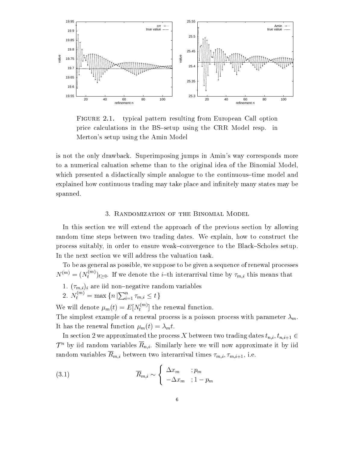

FIGURE 2.1. typical pattern resulting from European Call option price calculations in the BS-setup using the CRR Model resp. in Merton's setup using the Amin Model

is not the only drawback. Superimposing jumps in Amin's way corresponds more to a numerical caluation scheme than to the original idea of the Binomial Model, which presented a didactically simple analogue to the continuous-time model and explained how continuous trading may take place and infinitely many states may be spanned.

#### 3. Randomization of the Binomial Model

In this section we will extend the approach of the previous section by allowing random time steps between two trading dates. We explain, how to construct the process suitably, in order to ensure weak-convergence to the Black-Scholes setup. In the next section we will address the valuation task.

To be as general as possible, we suppose to be given a sequence of renewal processes  $N^{(m)} = (N_t^{(m)})_{t>0}$ . It we denote the *t*-th interarrival time by  $\tau_{m,i}$  this means that

- 1.  $(\tau_{m,i})_i$  are iid non-negative random variables
- 2.  $N_t^{(m)} = \max\{n \mid \sum_{i=1}^n \tau_{m,i} \leq t\}$

We will denote  $\mu_m(t) = E[N_t^{\times}]$  the renewal function.

The simplest example of a renewal process is a poisson process with parameter  $\lambda_m$ . It has the renewal function  $\mu_m(t) = \lambda_m t$ .

In section 2 we approximated the process X between two trading dates  $t_{n,i}, t_{n,i+1} \in$ T a by iid random variables  $R_{n,i}$ . Similarly here we will now approximate it by iid random variables  $\overline{R}_{m,i}$  between two interarrival times  $\tau_{m,i}, \tau_{m,i+1}$ , i.e.

(3.1) 
$$
\overline{R}_{m,i} \sim \begin{cases} \Delta x_m & ; p_m \\ -\Delta x_m & ; 1 - p_m \end{cases}
$$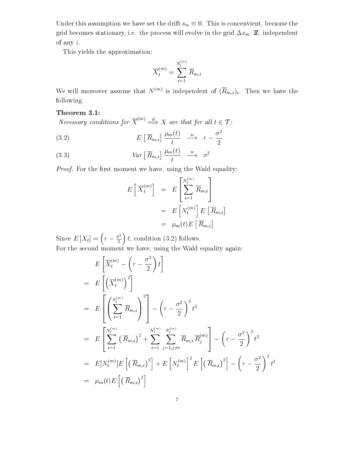Under this assumption we have set the drift  $\kappa_n \equiv 0$ . This is concenvient, because the grid becomes stationary, i.e. the process will evolve in the grid  $\Delta x_m \cdot \mathbb{Z}$ , independent of any i.

This yields the approximation:

$$
\overline{X}_t^{(m)} = \sum_{i=1}^{N_t^{(m)}} \overline{R}_{m,i}
$$

We will moreover assume that  $N^{(m)}$  is independent of  $(\overline{R}_{m,i})_i$ . Then we have the following

**Theorem 3.1:**<br>  $\begin{aligned} \textbf{Theorem 3.1:} \ \textbf{N} &\textbf{e} \textbf{c} \textbf{s} \textbf{a} \textbf{r} \textbf{y} \textbf{c} \textbf{a} \textbf{b} \textbf{a} \textbf{b} \textbf{b} \textbf{b} \textbf{b} \textbf{c} \textbf{b} \textbf{b} \textbf{c} \textbf{b} \textbf{b} \textbf{c} \textbf{b} \textbf{b} \textbf{c} \textbf{b} \textbf{b} \textbf{c} \textbf{b} \textbf{c} \textbf{b}$ 

(3.2) 
$$
E\left[\overline{R}_{m,i}\right] \xrightarrow{ \mu_m(t) } \quad \xrightarrow{n} \quad r - \frac{\sigma^2}{2}
$$

(3.3) 
$$
Var\left[\overline{R}_{m,i}\right] \xrightarrow{ \mu_m(t) } \xrightarrow{n} \sigma^2
$$

Proof. For the first moment we have, using the Wald equality:

$$
E\left[\overline{X}_{t}^{(m)}\right] = E\left[\sum_{i=1}^{N_{t}^{(m)}} \overline{R}_{m,i}\right]
$$
  
= 
$$
E\left[N_{t}^{(m)}\right]E\left[\overline{R}_{m,i}\right]
$$
  
= 
$$
\mu_{m}(t)E\left[\overline{R}_{m,i}\right]
$$

Since  $E[X_t] = \left(r - \frac{\sigma^2}{2}\right)t$ , condition (3.2) follows. For the second moment we have, using the Wald equality again:

$$
E\left[\overline{X}_{t}^{(m)} - \left(r - \frac{\sigma^{2}}{2}\right)t\right]
$$
  
\n
$$
= E\left[\left(\overline{X}_{t}^{(m)}\right)^{2}\right]
$$
  
\n
$$
= E\left[\left(\sum_{i=1}^{N_{t}^{(m)}} \overline{R}_{m,i}\right)^{2}\right] - \left(r - \frac{\sigma^{2}}{2}\right)^{2} t^{2}
$$
  
\n
$$
= E\left[\sum_{i=1}^{N_{t}^{(m)}} \left(\overline{R}_{m,i}\right)^{2} + \sum_{i=1}^{N_{t}^{(m)}} \sum_{j=1, j\neq i}^{N_{t}^{(m)}} \overline{R}_{m,i} \overline{R}_{j}^{(m)}\right] - \left(r - \frac{\sigma^{2}}{2}\right)^{2} t^{2}
$$
  
\n
$$
= E[N_{t}^{(m)}]E\left[\left(\overline{R}_{m,i}\right)^{2}\right] + E\left[N_{t}^{(m)}\right]^{2} E\left[\left(\overline{R}_{m,i}\right)^{2}\right] - \left(r - \frac{\sigma^{2}}{2}\right)^{2} t^{2}
$$
  
\n
$$
= \mu_{m}(t) E\left[\left(\overline{R}_{m,i}\right)^{2}\right]
$$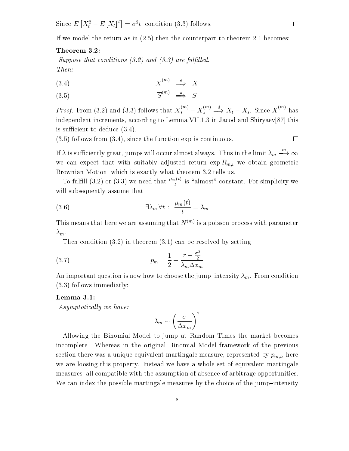$\sim$  . The Euler Euler Euler and the Euler Euler Euler Euler Euler Euler Euler Euler Euler Euler Euler Euler Euler Euler Euler Euler Euler Euler Euler Euler Euler Euler Euler Euler Euler Euler Euler Euler Euler Euler Eule  $[X_t^2 - E[X_t]^2] = \sigma^2 t$ , condition (3.3) follows.

If we model the return as in (2.5) then the counterpart to theorem 2.1 becomes:

# Theorem 3.2:

Suppose that conditions  $(3.2)$  and  $(3.3)$  are fulfilled. Then:

$$
(3.4) \t\t \overline{X}^{(m)} \xrightarrow{d} X
$$

$$
(3.5) \qquad \qquad \overline{S}^{(m)} \quad \stackrel{d}{\implies} \quad S
$$

*Proof.* From (3.2) and (3.3) follows that  $X_t^{(m)} - X_s^{(m)} \implies X_t - X_s$ . Since  $X^{(m)}$  has independent increments, according to Lemma VII.1.3 in Jacod and Shiryaev[87] this is sufficient to deduce  $(3.4)$ .

(3.5) follows from (3.4), since the function exp is continuous.

If  $\lambda$  is sufficiently great, jumps will occur almost always. Thus in the limit  $\lambda_m \stackrel{m}{\longrightarrow} \infty$ m! 1we can expect that with suitably adjusted return  $\exp \overline{R}_{m,i}$  we obtain geometric Brownian Motion, which is exactly what theorem 3.2 tells us.

To fulfill (3.2) or (3.3) we need that  $\frac{m(x)}{t}$  is "almost" constant. For simplicity we will subsequently assume that

(3.6) 
$$
\exists \lambda_m \forall t : \frac{\mu_m(t)}{t} = \lambda_m
$$

This means that here we are assuming that  $N^{(m)}$  is a poisson process with parameter  $\lambda_m$ .<br>Then condition (3.2) in theorem (3.1) can be resolved by setting

pm <sup>=</sup> 2 <sup>+</sup> <sup>r</sup> 22 mxm (3.7)

An important question is now how to choose the jump-intensity  $\lambda_m$ . From condition (3.3) follows immediatly:

#### Lemma 3.1:

Asymptotically we have:

$$
\lambda_m \sim \left(\frac{\sigma}{\Delta x_m}\right)^2
$$

Allowing the Binomial Model to jump at Random Times the market becomes incomplete. Whereas in the original Binomial Model framework of the previous section there was a unique equivalent martingale measure, represented by  $p_{m,i}$ , here we are loosing this property. Instead we have a whole set of equivalent martingale measures, all compatible with the assumption of absence of arbitrage opportunities. We can index the possible martingale measures by the choice of the jump-intensity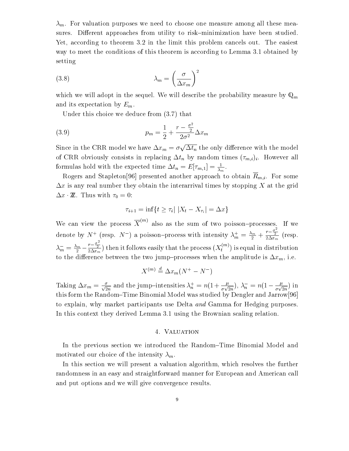$\lambda_m$ . For valuation purposes we need to choose one measure among all these measures. Different approaches from utility to risk–minimization have been studied. Yet, according to theorem 3.2 in the limit this problem cancels out. The easiest way to meet the conditions of this theorem is according to Lemma 3.1 obtained by setting

(3.8) 
$$
\lambda_m = \left(\frac{\sigma}{\Delta x_m}\right)^2
$$

which we will adopt in the sequel. We will describe the probability measure by  $\mathbb{Q}_m$ and its expectation by  $E_m$ .

Under this choice we deduce from (3.7) that

(3.9) 
$$
p_m = \frac{1}{2} + \frac{r - \frac{\sigma^2}{2}}{2\sigma^2} \Delta x_m
$$

Since in the CRR model we have  $\Delta x_m = \sigma \sqrt{\Delta t_n}$  the only difference with the model of CRR obviously consists in replacing  $\Delta t_n$  by random times  $(\tau_{m,i})_i$ . However all formulas hold with the expected time  $\Delta t_n = E[{\tau_{m,1}}] = \frac{1}{\lambda_m}.$ 

Rogers and Stapleton<sup>[96]</sup> presented another approach to obtain  $R_{m,i}$ . For some  $\Delta x$  is any real number they obtain the interarrival times by stopping X at the grid  $\Delta x \cdot \mathbb{Z}$ . Thus with  $\tau_0 = 0$ : 0:<br>  $\tau_{i+1} = \inf\{t \ge \tau_i | |X_t - X_{\tau_i}| = \Delta x\}$ 

$$
\tau_{i+1} = \inf\{t \ge \tau_i | \ |X_t - X_{\tau_i}| = \Delta x\}
$$

We can view the process  $X^{\cdots}$  also as the sum of two poisson-processes. If we denote by  $N^+$  (resp.  $N^-$ ) a poisson-process with intensity  $\lambda_m^+ = \frac{\lambda_m}{2} + \frac{r - \frac{\sigma}{2}}{2\Delta x_m}$  (resp.  $\lambda_m^- = \frac{\lambda_m}{2} - \frac{r-\frac{\sigma}{2}}{2\Delta x_m}$ ) then it follows easily that the process  $(X_t^{(m)})$  is equal in distribution to the difference between the two jump-processes when the amplitude is  $\Delta x_m$ , i.e.

$$
X^{(m)} \stackrel{d}{=} \Delta x_m (N^+ - N^-)
$$

Taking  $\Delta x_m = \frac{1}{\sqrt{2n}}$  and the jump-intensities  $\lambda_n = n(1 + \frac{1}{\sigma \sqrt{2n}}), \lambda_n = n(1 - \frac{1}{\sigma \sqrt{2n}})$  in this form the Random-Time Binomial Model was studied by Dengler and Jarrow<sup>[96]</sup> to explain, why market participants use Delta and Gamma for Hedging purposes. In this context they derived Lemma 3.1 using the Brownian scaling relation.

#### 4. Valuation

In the previous section we introduced the Random–Time Binomial Model and motivated our choice of the intensity  $\lambda_m$ .

In this section we will present a valuation algorithm, which resolves the further randomness in an easy and straightforward manner for European and American call and put options and we will give convergence results.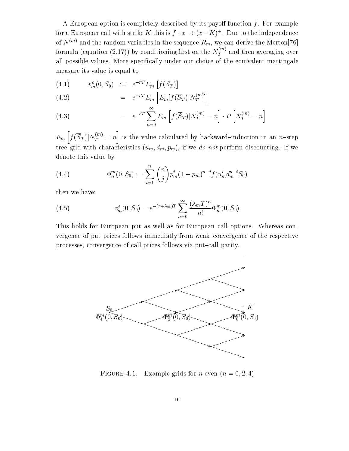A European option is completely described by its payoff function  $f$ . For example for a European call with strike  $K$  this is  $f: x \mapsto (x - K)^+$  . Due to the independence of  $N^{(m)}$  and the random variables in the sequence  $\overline{R}_m$ , we can derive the Merton[76] formula (equation (2.17)) by conditioning first on the  $N_T^{\sim}$  ' and then averaging over all possible values. More specically under our choice of the equivalent martingale measure its value is equal to

$$
(4.1) \t vme(0, S0) := e-rTEm[f(\overline{S}_T)]
$$

(4.2) 
$$
= e^{-rT} E_m \left[ E_m[f(\overline{S}_T)|N_T^{(m)}]\right]
$$

(4.3) 
$$
= e^{-rT} \sum_{n=0}^{\infty} E_m \left[ f(\overline{S}_T) | N_T^{(m)} = n \right] \cdot P \left[ N_T^{(m)} = n \right]
$$

 $E_m\left[f(\overline{S}_T)|N^{(m)}_T=n\right]$  is the val in the contract of the contract of the contract of the contract of the contract of the contract of the contract of the contract of the contract of the contract of the contract of the contract of the contract of the contrac is the value calculated by backward by backward in an national induction in an induction in an  $\mathbf{p}$ tree grid with characteristics  $(u_m, d_m, p_m)$ , if we do not perform discounting. If we denote this value by

(4.4) 
$$
\Phi_n^m(0, S_0) := \sum_{i=1}^n \binom{n}{j} p_m^i (1 - p_m)^{n-i} f(u_m^i d_m^{n-i} S_0)
$$

then we have:

(4.5) 
$$
v_m^e(0, S_0) = e^{-(r+\lambda_m)T} \sum_{n=0}^{\infty} \frac{(\lambda_m T)^n}{n!} \Phi_n^m(0, S_0)
$$

This holds for European put as well as for European call options. Whereas convergence of put prices follows immediatly from weak-convergence of the respective processes, convergence of call prices follows via put-call-parity.



FIGURE 4.1. Example grids for *n* even  $(n = 0, 2, 4)$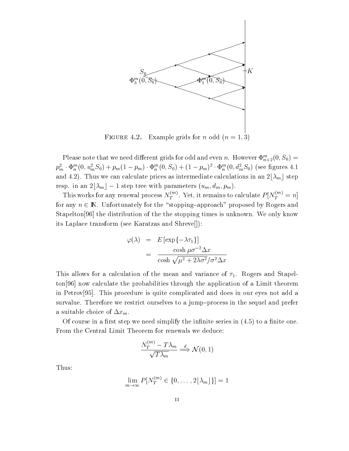

FIGURE 4.2. Example grids for *n* odd  $(n = 1, 3)$ 

Please note that we need different grids for odd and even  $n$ . However  $\Psi_{n+2}(0, S_0) =$  $p_m^-\cdot \Psi_n^{\scriptscriptstyle{\text{m}}}(0,u_m^{\scriptscriptstyle{\text{m}}}S_0)+p_m(1-p_m)\cdot \Psi_n^{\scriptscriptstyle{\text{m}}}(0,S_0)+(1-p_m)^{-}\cdot \Psi_n^{\scriptscriptstyle{\text{m}}}(0,a_m^{\scriptscriptstyle{\text{m}}}S_0)$  (see ngures 4.1) and 4.2). Thus we can calculate prices as intermediate calculations in an 2[ $\lambda_m$ ] step  $p_m^{\omega} \cdot \Phi_n^{\omega}(0, u_m^{\omega} s_0) + p_m(1 - p_m) \cdot \Phi_n^{\omega}(0, s_0) + (1 - p_m)^2 \cdot \Phi_n^{\omega}(0, a_m^{\omega} s_0)$ <br>and 4.2). Thus we can calculate prices as intermediate calculations<br>resp. in an  $2|\lambda_m| - 1$  step tree with parameters  $(u_m, d_m, p_m)$ .

This works for any renewal process  $N_T^{\cdots}$ . Yet, it remains to calculate  $P[N_T^{\cdots}]=n$ for any  $n \in \mathbb{N}$ . Unfortunately for the "stopping-approach" proposed by Rogers and Stapelton[96] the distribution of the the stopping times is unknown. We only know its Laplace transform (see Karatzas and Shreve[]):

$$
\varphi(\lambda) = E \left[ \exp\{-\lambda \tau_1\} \right]
$$
  
= 
$$
\frac{\cosh \mu \sigma^{-2} \Delta x}{\cosh \sqrt{\mu^2 + 2\lambda \sigma^2} / \sigma^2 \Delta x}
$$

This allows for a calculation of the mean and variance of  $\tau_1$ . Rogers and Stapelton[96] now calculate the probabilities through the application of a Limit theorem in Petrov[95]. This procedure is quite complicated and does in our eyes not add a survalue. Therefore we restrict ourselves to a jump-process in the sequel and prefer a suitable choice of  $\Delta x_m$ .

Of course in a first step we need simplify the infinite series in  $(4.5)$  to a finite one. From the Central Limit Theorem for renewals we deduce:<br> $\frac{N_T^{(m)} - T\lambda_m}{\Longrightarrow} \mathcal{N}(0, 1)$ 

$$
\frac{N_T^{(m)} - T\lambda_m}{\sqrt{T\lambda_m}} \stackrel{d}{\Longrightarrow} \mathcal{N}(0, 1)
$$

Thus:

$$
\lim_{m \to \infty} P[N_T^{(m)} \in \{0, \dots, 2\lfloor \lambda_m \rfloor\}] = 1
$$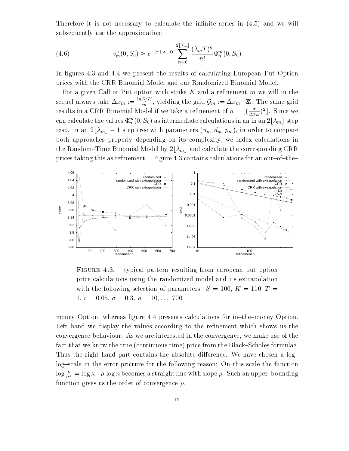Therefore it is not necessary to calculate the infinite series in  $(4.5)$  and we will subsequently use the approximation:

(4.6) 
$$
v_m^e(0, S_0) \approx e^{-(r+\lambda_m)T} \sum_{n=0}^{2\lfloor \lambda_m \rfloor} \frac{(\lambda_m T)^n}{n!} \Phi_n^m(0, S_0)
$$

In figures 4.3 and 4.4 we present the results of calculating European Put Option prices with the CRR Binomial Model and our Randomized Binomial Model.

For a given Call or Put option with strike K and a refinement  $m$  we will in the sequel always take  $\Delta x_m := \frac{m}{m}$ , yielding the grid  $\mathcal{G}_m := \Delta x_m \cdot \mathbb{Z}$ . The same grid results in a CRR Binomial model if we take a refinement of  $n = \lfloor (\frac{X}{\Delta x_m})^2 \rfloor$ . Since we can calculate the values  $\Psi^{\pi}_n(0, S_0)$  as intermediate calculations in an in an  $2[\lambda_m]$  step results in a CKR Binomial Model if we take a refinement of  $n = \lfloor (\frac{1}{\Delta x_m})^2 \rfloor$ . Since we<br>can calculate the values  $\Phi_n^m(0, S_0)$  as intermediate calculations in an in an  $2\lfloor \lambda_m \rfloor$  step<br>resp. in an  $2\lfloor \lambda_m \rfloor - 1$  st both approaches properly depending on its complexity, we index calculations in the Random–Time Binomial Model by  $2[\lambda_m]$  and calculate the corresponding CRR prices taking this as refinement. Figure 4.3 contains calculations for an out-of-the-



FIGURE 4.3. typical pattern resulting from european put option price calculations using the randomized model and its extrapolation with the following selection of parameters:  $S = 100, K = 110, T =$  $1, r = 0.05, \sigma = 0.3, n = 10, \ldots, 700$ 

money Option, whereas figure 4.4 presents calculations for in-the-money Option. Left hand we display the values according to the refinement which shows us the convergence behaviour. As we are interested in the convergence, we make use of the fact that we know the true (continuous time) price from the Black–Scholes formulae. Thus the right hand part contains the absolute difference. We have chosen a loglog-scale in the error pricture for the following reason: On this scale the function  $\log \frac{\kappa}{n^{\rho}} = \log \kappa - \rho \cdot \log n$  becomes a straight line with slope  $\rho$ . Such an upper-bounding function gives us the order of convergence  $\rho$ .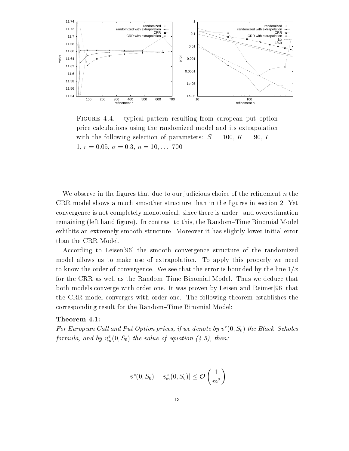

FIGURE 4.4. typical pattern resulting from european put option price calculations using the randomized model and its extrapolation with the following selection of parameters:  $S = 100, K = 90, T =$  $1, r = 0.05, \sigma = 0.3, n = 10, \ldots, 700$ 

We observe in the figures that due to our judicious choice of the refinement  $n$  the CRR model shows a much smoother structure than in the gures in section 2. Yet convergence is not completely monotonical, since there is under- and overestimation remaining (left hand figure). In contrast to this, the Random–Time Binomial Model exhibits an extremely smooth structure. Moreover it has slightly lower initial error than the CRR Model.

According to Leisen[96] the smooth convergence structure of the randomized model allows us to make use of extrapolation. To apply this properly we need to know the order of convergence. We see that the error is bounded by the line  $1/x$ for the CRR as well as the Random–Time Binomial Model. Thus we deduce that both models converge with order one. It was proven by Leisen and Reimer[96] that the CRR model converges with order one. The following theorem establishes the corresponding result for the Random-Time Binomial Model:

#### Theorem 4.1:

For European Call and Put Option prices, if we denote by  $v^e(0, S_0)$  the Black-Scholes formula, and by  $v_m^{\perp}(0, S_0)$  the value of equation (4.5), then:

$$
|v^e(0,S_0)-v^e_m(0,S_0)|\leq \mathcal{O}\left(\frac{1}{m^2}\right)
$$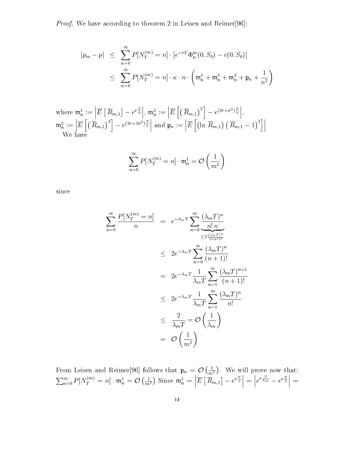Proof. We have according to theorem 2 in Leisen and Reimer[96]:

$$
|p_m - p| \leq \sum_{n=0}^{\infty} P[N_T^{(m)} = n] \cdot |e^{-rT} \Phi_n^m(0, S_0) - c(0, S_0)|
$$
  

$$
\leq \sum_{n=0}^{\infty} P[N_T^{(m)} = n] \cdot \kappa \cdot n \cdot \left(\mathfrak{m}_n^1 + \mathfrak{m}_n^2 + \mathfrak{m}_n^3 + \mathfrak{p}_n + \frac{1}{n^2}\right)
$$

where 
$$
\mathfrak{m}_n^1 := \left| \overline{E} \left[ \overline{R}_{m,1} \right] - e^{r \frac{T}{n}} \right|, \mathfrak{m}_n^2 := \left| \overline{E} \left[ \left( \overline{R}_{m,1} \right)^2 \right] - e^{(2r + \sigma^2) \frac{T}{n}} \right|,
$$
  
\n $\mathfrak{m}_n^3 := \left| \overline{E} \left[ \left( \overline{R}_{m,1} \right)^3 \right] - e^{(3r + 3\sigma^2) \frac{T}{n}} \right|$  and  $\mathfrak{p}_n := \left| \overline{E} \left[ \left( \ln \overline{R}_{m,1} \right) \left( \overline{R}_{m,1} - 1 \right)^3 \right] \right|$   
\nWe have

$$
\sum_{n=0}^{\infty} P[N_T^{(m)}=n] \cdot \mathfrak{m}_n^1 = \mathcal{O}\left(\frac{1}{m^2}\right)
$$

since

$$
\sum_{n=0}^{\infty} \frac{P[N_T^{(m)} = n]}{n} = e^{-\lambda_m T} \sum_{n=0}^{\infty} \frac{(\lambda_m T)^n}{n! n}
$$
  
\n
$$
\leq 2e^{-\lambda_m T} \sum_{n=0}^{\infty} \frac{(\lambda_m T)^n}{(n+1)!}
$$
  
\n
$$
= 2e^{-\lambda_m T} \frac{1}{\lambda_m T} \sum_{n=1}^{\infty} \frac{(\lambda_m T)^{n+1}}{(n+1)!}
$$
  
\n
$$
\leq 2e^{-\lambda_m T} \frac{1}{\lambda_m T} \sum_{n=1}^{\infty} \frac{(\lambda_m T)^n}{n!}
$$
  
\n
$$
\leq \frac{2}{\lambda_m T} = \mathcal{O}\left(\frac{1}{\lambda_m}\right)
$$
  
\n
$$
= \mathcal{O}\left(\frac{1}{m^2}\right)
$$

From Leisen and Reimer[96] follows that  $\mathfrak{p}_n = \mathcal{O}\left(\frac{1}{m^2}\right)$ . We will prove now that:  $\sum_{n=0}^{\infty} P[N_T^{(m)}=n] \cdot \mathfrak{m}_n^1 = \mathcal{O}\left(\frac{1}{m^2}\right)$  Since  $\mathfrak{m}_n^1 = \left| \overline{E} \left[ \overline{R}_{m,1} \right] - e^r \right|$  $\left| \overline{R}_{m,1} \right| - e^{r \frac{T}{n}} = \left| e^{r \frac{T}{\lambda_m}} - e^{r \frac{T}{n}} \right|$  $\left|e^{r\frac{T}{\lambda_m}}-e^{r\frac{T}{n}}\right|=$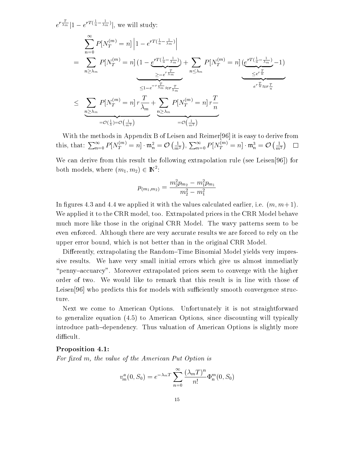$e^{r\frac{1}{\lambda_m}}|1-e^{rT(\frac{1}{n}-\frac{1}{\lambda_m})}|$ , we will study: <u>X11 - Andre Ville</u> =  $\sum_{n > \lambda_m} P[N_T^{(m)} = n] \left(1 - e^{rT(\frac{1}{n} - \frac{1}{\lambda_m})}\right) + \sum_{n < \lambda_m}$  $P[N_{T}^{(m)}=n] \left| 1-e^{rT(\frac{1}{n}-\frac{1}{\lambda_{m}})} \right|$  $\geq -e^{r\overline{\lambda_{m}}}$   $\sim -\infty$ )  $\overline{\phantom{a}}$  $1 - e^{rT(\frac{1}{n} - \frac{1}{\lambda_m})}$  +  $\sum_{n \leq \lambda_m} P[N_T^{(m)} = n] \underbrace{(e^{rT(\frac{1}{n} - \frac{1}{\lambda_m})}} \leq e^{r\frac{T}{n}} - 1)$ <br>  $\leq 1 - e^{-r\frac{T}{\lambda_m}} \approx r\frac{T}{\lambda_m}$  $\frac{2m}{\epsilon e^{r\frac{T}{n}}}$  – 1)  $\overline{\phantom{a}}$  $e^{r\frac{1}{n}} \approx r\frac{1}{n}$  $\leq \sum_{n>\lambda_m} P[N_T^{(m)}=n] r \frac{1}{\lambda_m} + \sum_{n>\lambda_n}$ T  $\sim$  m | {z }  $=O(\frac{1}{\lambda})=O(\frac{1}{m^2})$  $+\sum_{n\geq \lambda_m} P[N_T^{(m)}=n] r \frac{1}{n}$ | **z**  $\overline{\phantom{a}}$  $\overline{\phantom{a}}$  $\overline{\phantom{a}}$   $\overline{\phantom{a}}$   $\overline{\phantom{a}}$   $\overline{\phantom{a}}$   $\overline{\phantom{a}}$   $\overline{\phantom{a}}$   $\overline{\phantom{a}}$   $\overline{\phantom{a}}$   $\overline{\phantom{a}}$   $\overline{\phantom{a}}$   $\overline{\phantom{a}}$   $\overline{\phantom{a}}$   $\overline{\phantom{a}}$   $\overline{\phantom{a}}$   $\overline{\phantom{a}}$   $\overline{\phantom{a}}$   $=$  $\sqrt{\frac{m}{m^2}}$ 

With the methods in Appendix B of Leisen and Reimer[96] it is easy to derive from this, that:  $\sum_{n=0}^{\infty} P[N_T^{(m)} = n] \cdot \mathfrak{m}_n^2 = \mathcal{O}\left(\frac{1}{m^2}\right), \sum_{n=0}^{\infty} P[N_T^{(m)} = n] \cdot \mathfrak{m}_n^3 = \mathcal{O}\left(\frac{1}{m^2}\right)$ 

We can derive from this result the following extrapolation rule (see Leisen[96]) for both models, where  $(m_1, m_2) \in \mathbb{N}$ :

$$
p_{(m_1,m_2)}=\frac{m_2^2p_{m_2}-m_1^2p_{m_1}}{m_2^2-m_1^2}
$$

In figures 4.3 and 4.4 we applied it with the values calculated earlier, i.e.  $(m, m+1)$ . We applied it to the CRR model, too. Extrapolated prices in the CRR Model behave much more like those in the original CRR Model. The wavy patterns seem to be even enforced. Although there are very accurate results we are forced to rely on the upper error bound, which is not better than in the original CRR Model.

Differently, extrapolating the Random–Time Binomial Model yields very impressive results. We have very small initial errors which give us almost immediatly \penny{accuarcy". Moreover extrapolated prices seem to converge with the higher order of two. We would like to remark that this result is in line with those of Leisen $[96]$  who predicts this for models with sufficiently smooth convergence structure.

Next we come to American Options. Unfortunately it is not straightforward to generalize equation (4.5) to American Options, since discounting will typically introduce path-dependency. Thus valuation of American Options is slightly more difficult.

#### Proposition 4.1:

For fixed m, the value of the American Put Option is

$$
v_m^a(0, S_0) = e^{-\lambda_m T} \sum_{n=0}^{\infty} \frac{(\lambda_m T)^n}{n!} \Phi_n^m(0, S_0)
$$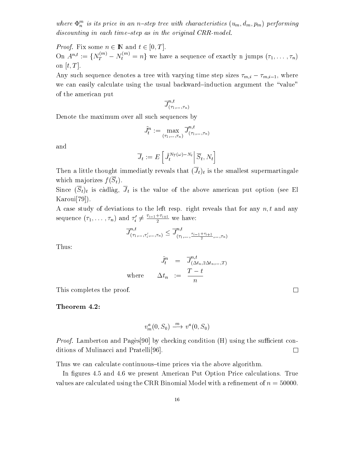where  $\Psi_n$  is us price in an n-step tree with characteristics  $(u_m, a_m, p_m)$  performing discounting in each time-step as in the original  $CRR$ -model.

*Proof.* Fix some  $n \in \mathbb{N}$  and  $t \in [0, T]$ .

On  $A^{n,\iota} := \{N_T^{\iota} \mid N_t^{\iota} \leq n\}$  we have a sequence of exactly n jumps  $(\tau_1,\ldots,\tau_n)$ on  $[t, T]$ .

Any such sequence denotes a tree with varying time step sizes  $\tau_{m,i} - \tau_{m,i-1}$ , where we can easily calculate using the usual backward-induction argument the "value" of the american put

$$
\overline{J}_{(\tau_1,\dots,\tau_n)}^{n,t}
$$

Denote the maximum over all such sequences by

$$
\tilde{J}^n_t:=\max_{(\tau_1,\dots,\tau_n)}\overline{J}^{n,t}_{(\tau_1,\dots,\tau_n)}
$$

and

$$
\overline{J}_t := E\left[\left.\tilde{J}_t^{N_T(\omega)-N_t}\right|\overline{S}_t,N_t\right]
$$

Then a little through immediately reveals that  $\Gamma$  that is the smallest supermartingalest supermartingalest supermartingalest supermartingalest supermartingalest supermartingalest supermartingalest supermartingalest supe which majorizes  $f(\overline{S}_t)$ .

Since  $(\overline{S}_t)_t$  is càdlàg,  $\overline{J}_t$  is the value of the above american put option (see El Karoui[79]).

A case study of deviations to the left resp. right reveals that for any  $n, t$  and any sequence  $(\tau_1,\ldots,\tau_n)$  and  $\tau_i^*\neq\frac{1+\cdots+1}{2}$  we have:

$$
\overline{J}_{(\tau_1,\ldots,\tau_i',\ldots,\tau_n)}^{n,t} \leq \overline{J}_{(\tau_1,\ldots,\tau_{i-1}+\tau_{i+1},\ldots,\tau_n)}^{n,t}
$$

Thus:

$$
\begin{array}{rcl} \tilde{J}^n_t & = & \overline{J}^{n,t}_{(\Delta t_n, 2\Delta t_n, \ldots, T)} \\ \text{where} & \Delta t_n & := & \frac{T-t}{n} \end{array}
$$

 $\Box$ 

This completes the proof.

#### Theorem 4.2:

$$
v_m^a(0, S_0) \xrightarrow{m} v^a(0, S_0)
$$

*Proof.* Lamberton and Pages[90] by checking condition  $(H)$  using the sufficient conditions of Mulinacci and Pratelli[96].  $\Box$ 

Thus we can calculate continuous-time prices via the above algorithm.

In figures 4.5 and 4.6 we present American Put Option Price calculations. True values are calculated using the CRR Binomial Model with a refinement of  $n = 50000$ .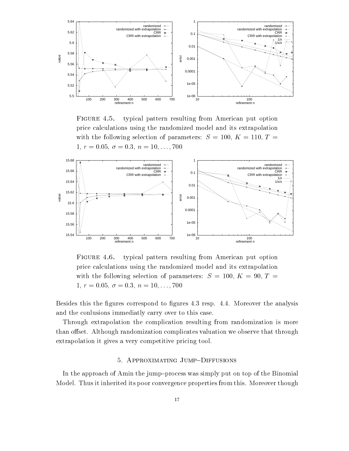

FIGURE 4.5. typical pattern resulting from American put option price calculations using the randomized model and its extrapolation with the following selection of parameters:  $S = 100, K = 110, T =$  $1, r = 0.05, \sigma = 0.3, n = 10, \ldots, 700$ 



FIGURE 4.6. typical pattern resulting from American put option price calculations using the randomized model and its extrapolation with the following selection of parameters:  $S = 100, K = 90, T =$  $1, r = 0.05, \sigma = 0.3, n = 10, \ldots, 700$ 

Besides this the figures correspond to figures 4.3 resp. 4.4. Moreover the analysis and the conlusions immediatly carry over to this case.

Through extrapolation the complication resulting from randomization is more than offset. Although randomization complicates valuation we observe that through extrapolation it gives a very competitive pricing tool.

#### 5. APPROXIMATING JUMP-DIFFUSIONS

In the approach of Amin the jump-process was simply put on top of the Binomial Model. Thus it inherited its poor convergence properties from this. Moreover though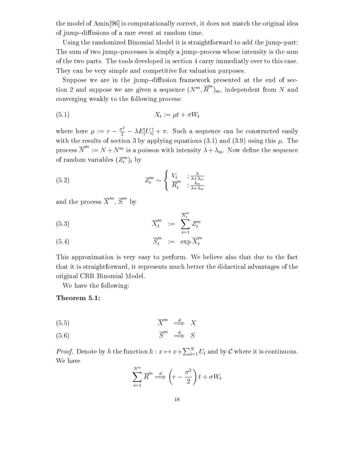the model of Amin[96] is computationally correct, it does not match the original idea of jump-diffusions of a rare event at random time.

Using the randomized Binomial Model it is straightforward to add the jump-part: The sum of two jump-processes is simply a jump-process whose intensity is the sum of the two parts. The tools developed in section 4 carry immediatly over to this case. They can be very simple and competitive for valuation purposes.

Suppose we are in the jump-diffusion framework presented at the end of section 2 and suppose we are given a sequence  $(N^m, R^m)_m$ , independent from N and converging weakly to the following process:

$$
(5.1) \t\t X_t := \mu t + \sigma W_t
$$

where here  $\mu := r - \frac{\sigma^2}{2} - \lambda E[U_i] + \pi$ . Such a sequence can be constructed easily with the results of section 3 by applying equations (3.1) and (3.9) using this  $\mu$ . The process  $N^{\cdots} := N + N^m$  is a poisson with intensity  $\lambda + \lambda_m$ . Now define the sequence of random variables  $(Z_i^{\cdots})_i$  by

(5.2) 
$$
Z_i^m \sim \begin{cases} V_i & ; \frac{\lambda}{\lambda + \lambda_m} \\ \overline{R}_i^m & ; \frac{\lambda_m}{\lambda + \lambda_m} \end{cases}
$$

and the process  $X^{\mathsf{m}}$ ,  $S^{\mathsf{m}}$  by

$$
\overline{X}_t^m := \sum_{i=1}^{N_t^m} Z_i^m
$$

$$
\overline{S}_t^m := \exp \overline{X}_t^m
$$

This approximation is very easy to perform. We believe also that due to the fact that it is straightforward, it represents much better the didactical advantages of the original CRR Binomial Model.

i=1

We have the following:

Theorem 5.1:

$$
\overline{X}^m \stackrel{d}{\implies} X
$$

 $(5.6)$   $\overline{S}^m \stackrel{d}{\implies} S$ 

*Proof.* Denote by h the function  $h: x \mapsto x + \sum_{i=1}^{N} U_i$  and by C where it is continuous. We have

$$
\sum_{i=1}^{N^{m}} \overline{R}^{m} \stackrel{d}{\Longrightarrow} \left(r - \frac{\sigma^{2}}{2}\right)t + \sigma W_{t}
$$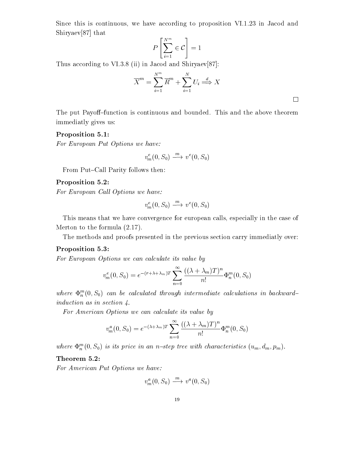Since this is continuous, we have according to proposition VI.1.23 in Jacod and Shiryaev[87] that  $\begin{bmatrix} 2 & 1 \\ 2 & 1 \end{bmatrix}$ 

$$
P\left[\sum_{i=1}^{N^m}\in\mathcal{C}\right]=1
$$

Thus according to VI.3.8 (ii) in Jacod and Shiryaev[87]:

$$
\overline{X}^m = \sum_{i=1}^{N^m} \overline{R}^m + \sum_{i=1}^{N} U_i \stackrel{d}{\Longrightarrow} X
$$

 $\Box$ 

The put Payoff-function is continuous and bounded. This and the above theorem immediatly gives us:

# Proposition 5.1:

For European Put Options we have:

$$
v_m^e(0, S_0) \xrightarrow{m} v^e(0, S_0)
$$

From Put-Call Parity follows then:

# Proposition 5.2:

For European Call Options we have:

$$
v_m^e(0, S_0) \xrightarrow{m} v^e(0, S_0)
$$

This means that we have convergence for european calls, especially in the case of Merton to the formula (2.17).

The methods and proofs presented in the previous section carry immediatly over:

# Proposition 5.3:

For European Options we can calculate its value by

$$
v_m^e(0, S_0) = e^{-(r+\lambda+\lambda_m)T} \sum_{n=0}^{\infty} \frac{((\lambda+\lambda_m)T)^n}{n!} \Phi_n^m(0, S_0)
$$

where  $\mathcal{L}_n^\infty(\mathbf{0},\mathcal{S}_0)$  can be calculated through intermediate calculations in backward induction as in section 4.

For American Options we can calculate its value by

$$
v_m^a(0, S_0) = e^{-(\lambda + \lambda_m)T} \sum_{n=0}^{\infty} \frac{((\lambda + \lambda_m)T)^n}{n!} \Phi_n^m(0, S_0)
$$

where  $\Psi_n$  (0,  $S_0$ ) is its price in an n-step tree with characteristics (u<sub>m</sub>, u<sub>m</sub>, p<sub>m</sub>).

## Theorem 5.2:

For American Put Options we have:

$$
v_m^a(0, S_0) \xrightarrow{m} v^a(0, S_0)
$$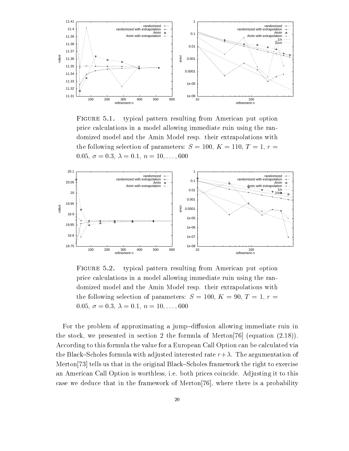

FIGURE 5.1. typical pattern resulting from American put option price calculations in a model allowing immediate ruin using the randomized model and the Amin Model resp. their extrapolations with the following selection of parameters:  $S = 100, K = 110, T = 1, r =$ 0.05,  $\sigma = 0.3$ ,  $\lambda = 0.1$ ,  $n = 10, \ldots, 600$ 



FIGURE 5.2. typical pattern resulting from American put option price calculations in a model allowing immediate ruin using the randomized model and the Amin Model resp. their extrapolations with the following selection of parameters:  $S = 100, K = 90, T = 1, r =$ 0.05,  $\sigma = 0.3$ ,  $\lambda = 0.1$ ,  $n = 10, \ldots, 600$ 

For the problem of approximating a jump-diffusion allowing immediate ruin in the stock, we presented in section 2 the formula of Merton[76] (equation (2.18)). According to this formula the value for a European Call Option can be calculated via the Black–Scholes formula with adjusted interested rate  $r+\lambda$ . The argumentation of Merton<sup>[73]</sup> tells us that in the original Black–Scholes framework the right to exercise an American Call Option is worthless, i.e. both prices coincide. Adjusting it to this case we deduce that in the framework of Merton[76], where there is a probability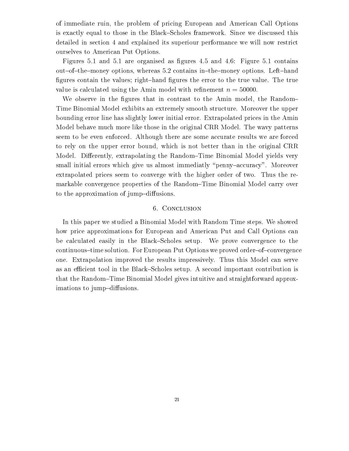of immediate ruin, the problem of pricing European and American Call Options is exactly equal to those in the Black–Scholes framework. Since we discussed this detailed in section 4 and explained its superiour performance we will now restrict ourselves to American Put Options.

Figures 5.1 and 5.1 are organised as figures 4.5 and 4.6: Figure 5.1 contains out-of-the-money options, whereas 5.2 contains in-the-money options. Left-hand figures contain the values; right-hand figures the error to the true value. The true value is calculated using the Amin model with refinement  $n = 50000$ .

We observe in the figures that in contrast to the Amin model, the Random-Time Binomial Model exhibits an extremely smooth structure. Moreover the upper bounding error line has slightly lower initial error. Extrapolated prices in the Amin Model behave much more like those in the original CRR Model. The wavy patterns seem to be even enforced. Although there are some accurate results we are forced to rely on the upper error bound, which is not better than in the original CRR Model. Differently, extrapolating the Random–Time Binomial Model yields very small initial errors which give us almost immediatly "penny-accuracy". Moreover extrapolated prices seem to converge with the higher order of two. Thus the remarkable convergence properties of the Random–Time Binomial Model carry over to the approximation of jump-diffusions.

#### 6. Conclusion

In this paper we studied a Binomial Model with Random Time steps. We showed how price approximations for European and American Put and Call Options can be calculated easily in the Black–Scholes setup. We prove convergence to the continuous-time solution. For European Put Options we proved order-of-convergence one. Extrapolation improved the results impressively. Thus this Model can serve as an efficient tool in the Black–Scholes setup. A second important contribution is that the Random-Time Binomial Model gives intuitive and straightforward approximations to jump-diffusions.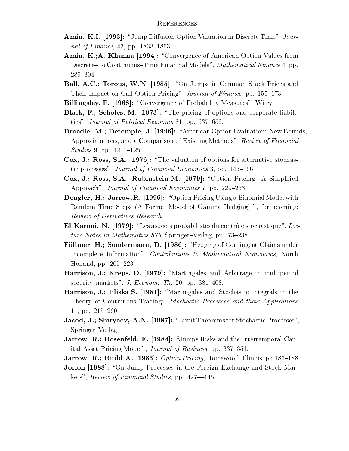- Amin, K.I. [1993]: "Jump Diffusion Option Valuation in Discrete Time", Journal of Finance,  $43$ , pp.  $1833-1863$ .
- Amin, K.;A. Khanna [1994]: "Convergence of American Option Values from Discrete– to Continuous–Time Financial Models", Mathematical Finance 4, pp. 289-304.
- Ball, A.C.; Torous, W.N. [1985]: "On Jumps in Common Stock Prices and Their Impact on Call Option Pricing", Journal of Finance, pp. 155-173.
- Billingsley, P. [1968]: "Convergence of Probability Measures", Wiley.
- Black, F.; Scholes, M. [1973]: "The pricing of options and corporate liabilities", Journal of Political Economy 81, pp.  $637-659$ .
- Broadie, M.; Detemple, J. [1996]: "American Option Evaluation: New Bounds, Approximations, and a Comparison of Existing Methods", Review of Financial  $Studies 9, pp. 1211–1250$
- Cox, J.; Ross, S.A. [1976]: "The valuation of options for alternative stochastic processes", Journal of Financial Economics 3, pp. 145-166.
- Cox, J.; Ross, S.A., Rubinstein M. [1979]: "Option Pricing: A Simplified Approach", Journal of Financial Economics 7, pp. 229–263.
- Dengler, H.; Jarrow, R. [1996]: "Option Pricing Using a Binomial Model with Random Time Steps (A Formal Model of Gamma Hedging) ", forthcoming: Review of Derivatives Research.
- El Karoui, N.  $[1979]$ : "Les aspects probabilistes du contrôle stochastique", Lecture Notes in Mathematics  $876$ , Springer-Verlag, pp. 73-238.
- Föllmer, H.; Sondermann, D. [1986]: "Hedging of Contingent Claims under Incomplete Information", Contributions to Mathematical Economics, North Holland, pp.  $205-223$ .
- Harrison, J.; Kreps, D. [1979]: "Martingales and Arbitrage in multiperiod security markets",  $J. Econom. Th. 20$ , pp.  $381–408$ .
- Harrison, J.; Pliska S. [1981]: "Martingales and Stochastic Integrals in the Theory of Continuous Trading", Stochastic Processes and their Applications 11, pp.  $215-260$ .
- Jacod, J.; Shiryaev, A.N. [1987]: "Limit Theorems for Stochastic Processes", Springer-Verlag.
- **Jarrow, R.; Rosenfeld, E. [1984]:** "Jumps Risks and the Intertemporal Capital Asset Pricing Model", *Journal of Business*, pp. 337-351.
- **Jarrow, R.; Rudd A.** [1983]: Option Pricing, Homewood, Illinois, pp.183–188.
- **Jorion [1988]:** "On Jump Processes in the Foreign Exchange and Stock Markets", Review of Financial Studies, pp.  $427-445$ .